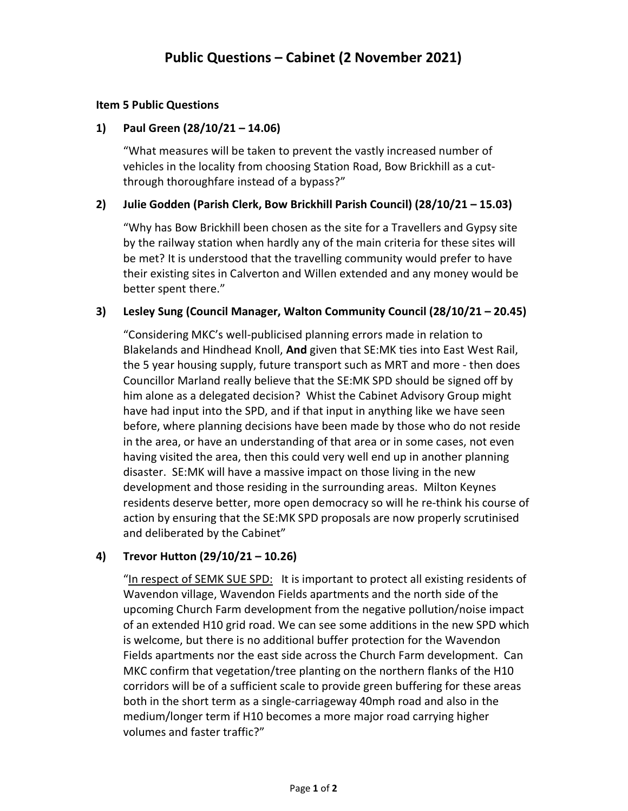#### Item 5 Public Questions

# 1) Paul Green (28/10/21 – 14.06)

"What measures will be taken to prevent the vastly increased number of vehicles in the locality from choosing Station Road, Bow Brickhill as a cutthrough thoroughfare instead of a bypass?"

# 2) Julie Godden (Parish Clerk, Bow Brickhill Parish Council) (28/10/21 – 15.03)

"Why has Bow Brickhill been chosen as the site for a Travellers and Gypsy site by the railway station when hardly any of the main criteria for these sites will be met? It is understood that the travelling community would prefer to have their existing sites in Calverton and Willen extended and any money would be better spent there."

# 3) Lesley Sung (Council Manager, Walton Community Council (28/10/21 – 20.45)

"Considering MKC's well-publicised planning errors made in relation to Blakelands and Hindhead Knoll, And given that SE:MK ties into East West Rail, the 5 year housing supply, future transport such as MRT and more - then does Councillor Marland really believe that the SE:MK SPD should be signed off by him alone as a delegated decision? Whist the Cabinet Advisory Group might have had input into the SPD, and if that input in anything like we have seen before, where planning decisions have been made by those who do not reside in the area, or have an understanding of that area or in some cases, not even having visited the area, then this could very well end up in another planning disaster. SE:MK will have a massive impact on those living in the new development and those residing in the surrounding areas. Milton Keynes residents deserve better, more open democracy so will he re-think his course of action by ensuring that the SE:MK SPD proposals are now properly scrutinised and deliberated by the Cabinet"

# 4) Trevor Hutton (29/10/21 – 10.26)

"In respect of SEMK SUE SPD: It is important to protect all existing residents of Wavendon village, Wavendon Fields apartments and the north side of the upcoming Church Farm development from the negative pollution/noise impact of an extended H10 grid road. We can see some additions in the new SPD which is welcome, but there is no additional buffer protection for the Wavendon Fields apartments nor the east side across the Church Farm development. Can MKC confirm that vegetation/tree planting on the northern flanks of the H10 corridors will be of a sufficient scale to provide green buffering for these areas both in the short term as a single-carriageway 40mph road and also in the medium/longer term if H10 becomes a more major road carrying higher volumes and faster traffic?"